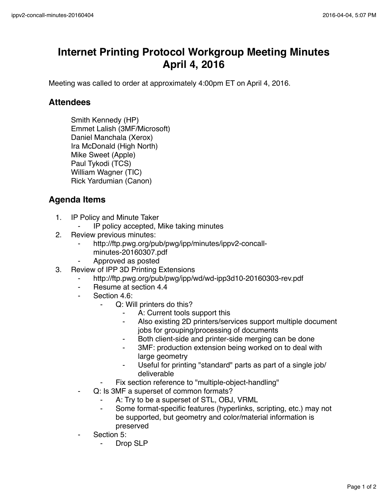## **Internet Printing Protocol Workgroup Meeting Minutes April 4, 2016**

Meeting was called to order at approximately 4:00pm ET on April 4, 2016.

## **Attendees**

Smith Kennedy (HP) Emmet Lalish (3MF/Microsoft) Daniel Manchala (Xerox) Ira McDonald (High North) Mike Sweet (Apple) Paul Tykodi (TCS) William Wagner (TIC) Rick Yardumian (Canon)

## **Agenda Items**

- 1. IP Policy and Minute Taker
	- ⁃ IP policy accepted, Mike taking minutes
- 2. Review previous minutes:
	- http://ftp.pwg.org/pub/pwg/ipp/minutes/ippv2-concall
		- minutes-20160307.pdf
	- ⁃ Approved as posted
- 3. Review of IPP 3D Printing Extensions
	- ⁃ http://ftp.pwg.org/pub/pwg/ipp/wd/wd-ipp3d10-20160303-rev.pdf
	- Resume at section 4.4
	- Section 4.6:
		- ⁃ Q: Will printers do this?
			- A: Current tools support this
			- Also existing 2D printers/services support multiple document jobs for grouping/processing of documents
			- ⁃ Both client-side and printer-side merging can be done
			- 3MF: production extension being worked on to deal with large geometry
			- Useful for printing "standard" parts as part of a single job/ deliverable
		- Fix section reference to "multiple-object-handling"
	- Q: Is 3MF a superset of common formats?
		- ⁃ A: Try to be a superset of STL, OBJ, VRML
		- Some format-specific features (hyperlinks, scripting, etc.) may not be supported, but geometry and color/material information is preserved
	- Section 5:
		- Drop SLP